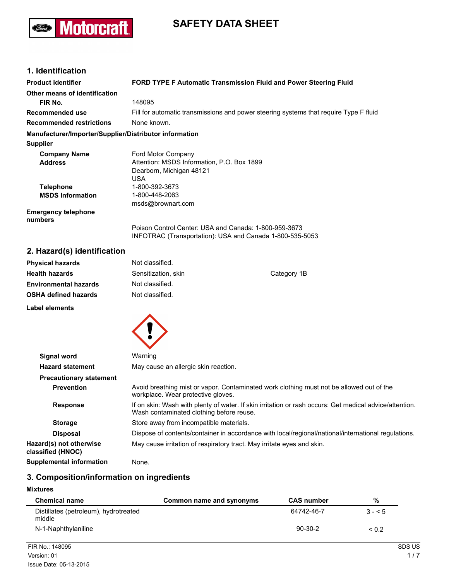## **Motorcraft** (Ford)

# **SAFETY DATA SHEET**

## **1. Identification**

| <b>Product identifier</b>                              | FORD TYPE F Automatic Transmission Fluid and Power Steering Fluid                     |  |  |
|--------------------------------------------------------|---------------------------------------------------------------------------------------|--|--|
| Other means of identification                          |                                                                                       |  |  |
| FIR No.                                                | 148095                                                                                |  |  |
| Recommended use                                        | Fill for automatic transmissions and power steering systems that require Type F fluid |  |  |
| <b>Recommended restrictions</b>                        | None known.                                                                           |  |  |
| Manufacturer/Importer/Supplier/Distributor information |                                                                                       |  |  |
| <b>Supplier</b>                                        |                                                                                       |  |  |
| <b>Company Name</b>                                    | Ford Motor Company                                                                    |  |  |
| <b>Address</b>                                         | Attention: MSDS Information, P.O. Box 1899                                            |  |  |
|                                                        | Dearborn, Michigan 48121                                                              |  |  |
|                                                        | USA                                                                                   |  |  |
| <b>Telephone</b>                                       | 1-800-392-3673                                                                        |  |  |
| <b>MSDS Information</b>                                | 1-800-448-2063                                                                        |  |  |
|                                                        | msds@brownart.com                                                                     |  |  |
| <b>Emergency telephone</b><br>numbers                  |                                                                                       |  |  |
|                                                        | Poison Control Center: USA and Canada: 1-800-959-3673                                 |  |  |
|                                                        | INFOTRAC (Transportation): USA and Canada 1-800-535-5053                              |  |  |

## **2. Hazard(s) identification**

| <b>Physical hazards</b>      | Not classified.                    |  |
|------------------------------|------------------------------------|--|
| <b>Health hazards</b>        | Sensitization, skin<br>Category 1B |  |
| <b>Environmental hazards</b> | Not classified.                    |  |
| <b>OSHA defined hazards</b>  | Not classified.                    |  |
| <b>Label elements</b>        |                                    |  |
|                              |                                    |  |

| Signal word                                  | Warning                                                                                                                                             |  |  |
|----------------------------------------------|-----------------------------------------------------------------------------------------------------------------------------------------------------|--|--|
| <b>Hazard statement</b>                      | May cause an allergic skin reaction.                                                                                                                |  |  |
| <b>Precautionary statement</b>               |                                                                                                                                                     |  |  |
| <b>Prevention</b>                            | Avoid breathing mist or vapor. Contaminated work clothing must not be allowed out of the<br>workplace. Wear protective gloves.                      |  |  |
| <b>Response</b>                              | If on skin: Wash with plenty of water. If skin irritation or rash occurs: Get medical advice/attention.<br>Wash contaminated clothing before reuse. |  |  |
| <b>Storage</b>                               | Store away from incompatible materials.                                                                                                             |  |  |
| <b>Disposal</b>                              | Dispose of contents/container in accordance with local/regional/national/international regulations.                                                 |  |  |
| Hazard(s) not otherwise<br>classified (HNOC) | May cause irritation of respiratory tract. May irritate eyes and skin.                                                                              |  |  |
| <b>Supplemental information</b>              | None.                                                                                                                                               |  |  |

## **3. Composition/information on ingredients**

#### **Mixtures**

| <b>Chemical name</b>                            | Common name and synonyms | <b>CAS number</b> | %          |
|-------------------------------------------------|--------------------------|-------------------|------------|
| Distillates (petroleum), hydrotreated<br>middle |                          | 64742-46-7        | $3 - 5$    |
| N-1-Naphthylaniline                             |                          | $90-30-2$         | ${}_{0.2}$ |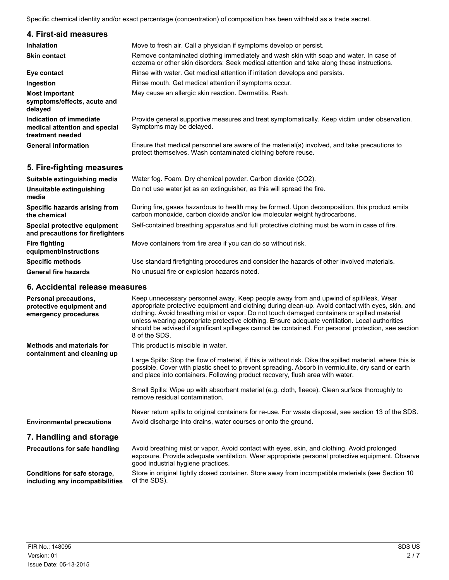Specific chemical identity and/or exact percentage (concentration) of composition has been withheld as a trade secret.

| 4. First-aid measures                                                               |                                                                                                                                                                                     |
|-------------------------------------------------------------------------------------|-------------------------------------------------------------------------------------------------------------------------------------------------------------------------------------|
| Inhalation                                                                          | Move to fresh air. Call a physician if symptoms develop or persist.                                                                                                                 |
| <b>Skin contact</b>                                                                 | Remove contaminated clothing immediately and wash skin with soap and water. In case of<br>eczema or other skin disorders: Seek medical attention and take along these instructions. |
| Eye contact                                                                         | Rinse with water. Get medical attention if irritation develops and persists.                                                                                                        |
| Ingestion                                                                           | Rinse mouth. Get medical attention if symptoms occur.                                                                                                                               |
| <b>Most important</b><br>symptoms/effects, acute and<br>delayed                     | May cause an allergic skin reaction. Dermatitis. Rash.                                                                                                                              |
| <b>Indication of immediate</b><br>medical attention and special<br>treatment needed | Provide general supportive measures and treat symptomatically. Keep victim under observation.<br>Symptoms may be delayed.                                                           |
| <b>General information</b>                                                          | Ensure that medical personnel are aware of the material(s) involved, and take precautions to<br>protect themselves. Wash contaminated clothing before reuse.                        |
| 5. Fire-fighting measures                                                           |                                                                                                                                                                                     |
| Suitable extinguishing media                                                        | Water fog. Foam. Dry chemical powder. Carbon dioxide (CO2).                                                                                                                         |
| Unsuitable extinguishing<br>media                                                   | Do not use water jet as an extinguisher, as this will spread the fire.                                                                                                              |
| Specific hazards arising from<br>the chemical                                       | During fire, gases hazardous to health may be formed. Upon decomposition, this product emits<br>carbon monoxide, carbon dioxide and/or low molecular weight hydrocarbons.           |
| Special protective equipment<br>and precautions for firefighters                    | Self-contained breathing apparatus and full protective clothing must be worn in case of fire.                                                                                       |
| <b>Fire fighting</b><br>equipment/instructions                                      | Move containers from fire area if you can do so without risk.                                                                                                                       |
| <b>Specific methods</b>                                                             | Use standard firefighting procedures and consider the hazards of other involved materials.                                                                                          |
| <b>General fire hazards</b>                                                         | No unusual fire or explosion hazards noted.                                                                                                                                         |
| 6. Accidental release measures                                                      |                                                                                                                                                                                     |

| <b>Personal precautions,</b><br>protective equipment and<br>emergency procedures | Keep unnecessary personnel away. Keep people away from and upwind of spill/leak. Wear<br>appropriate protective equipment and clothing during clean-up. Avoid contact with eyes, skin, and<br>clothing. Avoid breathing mist or vapor. Do not touch damaged containers or spilled material<br>unless wearing appropriate protective clothing. Ensure adequate ventilation. Local authorities<br>should be advised if significant spillages cannot be contained. For personal protection, see section<br>8 of the SDS. |
|----------------------------------------------------------------------------------|-----------------------------------------------------------------------------------------------------------------------------------------------------------------------------------------------------------------------------------------------------------------------------------------------------------------------------------------------------------------------------------------------------------------------------------------------------------------------------------------------------------------------|
| <b>Methods and materials for</b>                                                 | This product is miscible in water.                                                                                                                                                                                                                                                                                                                                                                                                                                                                                    |
| containment and cleaning up                                                      | Large Spills: Stop the flow of material, if this is without risk. Dike the spilled material, where this is<br>possible. Cover with plastic sheet to prevent spreading. Absorb in vermiculite, dry sand or earth<br>and place into containers. Following product recovery, flush area with water.                                                                                                                                                                                                                      |
|                                                                                  | Small Spills: Wipe up with absorbent material (e.g. cloth, fleece). Clean surface thoroughly to<br>remove residual contamination.                                                                                                                                                                                                                                                                                                                                                                                     |
|                                                                                  | Never return spills to original containers for re-use. For waste disposal, see section 13 of the SDS.                                                                                                                                                                                                                                                                                                                                                                                                                 |
| <b>Environmental precautions</b>                                                 | Avoid discharge into drains, water courses or onto the ground.                                                                                                                                                                                                                                                                                                                                                                                                                                                        |
| 7. Handling and storage                                                          |                                                                                                                                                                                                                                                                                                                                                                                                                                                                                                                       |
| <b>Precautions for safe handling</b>                                             | Avoid breathing mist or vapor. Avoid contact with eyes, skin, and clothing. Avoid prolonged<br>exposure. Provide adequate ventilation. Wear appropriate personal protective equipment. Observe<br>good industrial hygiene practices.                                                                                                                                                                                                                                                                                  |
| Conditions for safe storage,<br>including any incompatibilities                  | Store in original tightly closed container. Store away from incompatible materials (see Section 10<br>of the SDS).                                                                                                                                                                                                                                                                                                                                                                                                    |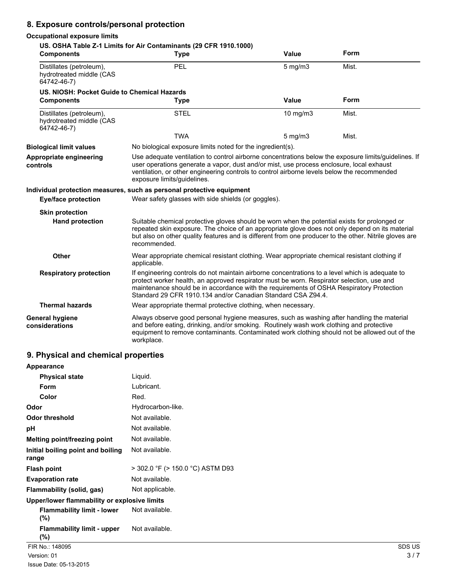## **8. Exposure controls/personal protection**

#### **Occupational exposure limits**

#### **US. OSHA Table Z-1 Limits for Air Contaminants (29 CFR 1910.1000) Components Type Value Form** Distillates (petroleum), 
PEL 5 mg/m3 Mist. hydrotreated middle (CAS 64742-46-7) **US. NIOSH: Pocket Guide to Chemical Hazards Components Type Value Form** Distillates (petroleum),  $STEL$  10 mg/m3 Mist. hydrotreated middle (CAS 64742-46-7) TWA 5 mg/m3 Mist. **Biological limit values** No biological exposure limits noted for the ingredient(s). **Appropriate engineering controls** Use adequate ventilation to control airborne concentrations below the exposure limits/guidelines. If user operations generate a vapor, dust and/or mist, use process enclosure, local exhaust ventilation, or other engineering controls to control airborne levels below the recommended exposure limits/guidelines. **Individual protection measures, such as personal protective equipment Eye/face protection** Wear safety glasses with side shields (or goggles). **Skin protection Hand protection** Suitable chemical protective gloves should be worn when the potential exists for prolonged or repeated skin exposure. The choice of an appropriate glove does not only depend on its material but also on other quality features and is different from one producer to the other. Nitrile gloves are recommended. **Other** Wear appropriate chemical resistant clothing. Wear appropriate chemical resistant clothing if applicable. **Respiratory protection** If engineering controls do not maintain airborne concentrations to a level which is adequate to protect worker health, an approved respirator must be worn. Respirator selection, use and maintenance should be in accordance with the requirements of OSHA Respiratory Protection Standard 29 CFR 1910.134 and/or Canadian Standard CSA Z94.4. **Thermal hazards** Wear appropriate thermal protective clothing, when necessary. **General hygiene considerations** Always observe good personal hygiene measures, such as washing after handling the material and before eating, drinking, and/or smoking. Routinely wash work clothing and protective equipment to remove contaminants. Contaminated work clothing should not be allowed out of the workplace.

#### **9. Physical and chemical properties**

| Appearance                                   |                                  |        |
|----------------------------------------------|----------------------------------|--------|
| <b>Physical state</b>                        | Liquid.                          |        |
| <b>Form</b>                                  | Lubricant.                       |        |
| Color                                        | Red.                             |        |
| Odor                                         | Hydrocarbon-like.                |        |
| <b>Odor threshold</b>                        | Not available.                   |        |
| pH                                           | Not available.                   |        |
| Melting point/freezing point                 | Not available.                   |        |
| Initial boiling point and boiling<br>range   | Not available.                   |        |
| <b>Flash point</b>                           | > 302.0 °F (> 150.0 °C) ASTM D93 |        |
| <b>Evaporation rate</b>                      | Not available.                   |        |
| <b>Flammability (solid, gas)</b>             | Not applicable.                  |        |
| Upper/lower flammability or explosive limits |                                  |        |
| <b>Flammability limit - lower</b><br>$(\%)$  | Not available.                   |        |
| <b>Flammability limit - upper</b><br>(%)     | Not available.                   |        |
| FIR No.: 148095                              |                                  | SDS US |
| Version: 01                                  |                                  | 3/7    |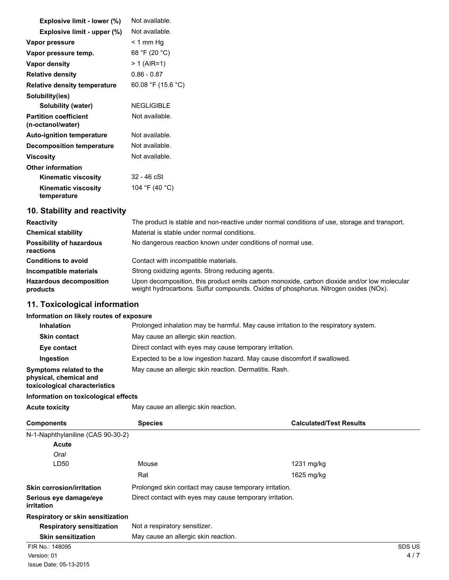| Explosive limit - lower (%)                       | Not available.     |
|---------------------------------------------------|--------------------|
| Explosive limit - upper (%)                       | Not available.     |
| Vapor pressure                                    | < 1 mm Hq          |
| Vapor pressure temp.                              | 68 °F (20 °C)      |
| Vapor density                                     | $> 1$ (AIR=1)      |
| <b>Relative density</b>                           | $0.86 - 0.87$      |
| <b>Relative density temperature</b>               | 60.08 °F (15.6 °C) |
| Solubility(ies)                                   |                    |
| Solubility (water)                                | <b>NEGLIGIBLE</b>  |
| <b>Partition coefficient</b><br>(n-octanol/water) | Not available.     |
| <b>Auto-ignition temperature</b>                  | Not available.     |
| <b>Decomposition temperature</b>                  | Not available.     |
| Viscosity                                         | Not available.     |
| <b>Other information</b>                          |                    |
| <b>Kinematic viscosity</b>                        | 32 - 46 cSt        |
| <b>Kinematic viscosity</b><br>temperature         | 104 °F (40 °C)     |

## **10. Stability and reactivity**

| <b>Reactivity</b>                            | The product is stable and non-reactive under normal conditions of use, storage and transport.                                                                                      |  |  |
|----------------------------------------------|------------------------------------------------------------------------------------------------------------------------------------------------------------------------------------|--|--|
| <b>Chemical stability</b>                    | Material is stable under normal conditions.                                                                                                                                        |  |  |
| <b>Possibility of hazardous</b><br>reactions | No dangerous reaction known under conditions of normal use.                                                                                                                        |  |  |
| <b>Conditions to avoid</b>                   | Contact with incompatible materials.                                                                                                                                               |  |  |
| Incompatible materials                       | Strong oxidizing agents. Strong reducing agents.                                                                                                                                   |  |  |
| <b>Hazardous decomposition</b><br>products   | Upon decomposition, this product emits carbon monoxide, carbon dioxide and/or low molecular<br>weight hydrocarbons. Sulfur compounds. Oxides of phosphorus. Nitrogen oxides (NOx). |  |  |

## **11. Toxicological information**

#### **Information on likely routes of exposure**

| <b>Inhalation</b>                                                                  | Prolonged inhalation may be harmful. May cause irritation to the respiratory system. |  |  |
|------------------------------------------------------------------------------------|--------------------------------------------------------------------------------------|--|--|
| <b>Skin contact</b>                                                                | May cause an allergic skin reaction.                                                 |  |  |
| Eye contact                                                                        | Direct contact with eyes may cause temporary irritation.                             |  |  |
| Ingestion                                                                          | Expected to be a low ingestion hazard. May cause discomfort if swallowed.            |  |  |
| Symptoms related to the<br>physical, chemical and<br>toxicological characteristics | May cause an allergic skin reaction. Dermatitis. Rash.                               |  |  |

## **Information on toxicological effects**

|  | <b>Acute toxicity</b> |
|--|-----------------------|
|  |                       |

May cause an allergic skin reaction.

| <b>Components</b>                    | <b>Species</b>                                           | <b>Calculated/Test Results</b> |
|--------------------------------------|----------------------------------------------------------|--------------------------------|
| N-1-Naphthylaniline (CAS 90-30-2)    |                                                          |                                |
| <b>Acute</b>                         |                                                          |                                |
| Oral                                 |                                                          |                                |
| LD50                                 | Mouse                                                    | 1231 $mg/kg$                   |
|                                      | Rat                                                      | 1625 mg/kg                     |
| <b>Skin corrosion/irritation</b>     | Prolonged skin contact may cause temporary irritation.   |                                |
| Serious eye damage/eye<br>irritation | Direct contact with eyes may cause temporary irritation. |                                |
| Respiratory or skin sensitization    |                                                          |                                |
| <b>Respiratory sensitization</b>     | Not a respiratory sensitizer.                            |                                |
| <b>Skin sensitization</b>            | May cause an allergic skin reaction.                     |                                |
| FIR No.: 148095                      |                                                          | SDS US                         |
| Version: 01                          |                                                          | 4/7                            |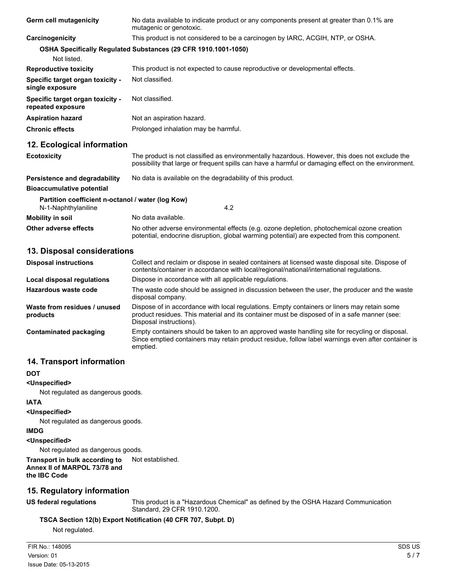| Germ cell mutagenicity                                                   | No data available to indicate product or any components present at greater than 0.1% are<br>mutagenic or genotoxic.                                                                                   |  |
|--------------------------------------------------------------------------|-------------------------------------------------------------------------------------------------------------------------------------------------------------------------------------------------------|--|
| Carcinogenicity                                                          | This product is not considered to be a carcinogen by IARC, ACGIH, NTP, or OSHA.                                                                                                                       |  |
| Not listed.                                                              | OSHA Specifically Regulated Substances (29 CFR 1910.1001-1050)                                                                                                                                        |  |
| <b>Reproductive toxicity</b>                                             | This product is not expected to cause reproductive or developmental effects.                                                                                                                          |  |
| Specific target organ toxicity -<br>single exposure                      | Not classified.                                                                                                                                                                                       |  |
| Specific target organ toxicity -<br>repeated exposure                    | Not classified.                                                                                                                                                                                       |  |
| <b>Aspiration hazard</b>                                                 | Not an aspiration hazard.                                                                                                                                                                             |  |
| <b>Chronic effects</b>                                                   | Prolonged inhalation may be harmful.                                                                                                                                                                  |  |
| 12. Ecological information                                               |                                                                                                                                                                                                       |  |
| <b>Ecotoxicity</b>                                                       | The product is not classified as environmentally hazardous. However, this does not exclude the<br>possibility that large or frequent spills can have a harmful or damaging effect on the environment. |  |
| Persistence and degradability                                            | No data is available on the degradability of this product.                                                                                                                                            |  |
| <b>Bioaccumulative potential</b>                                         |                                                                                                                                                                                                       |  |
| Partition coefficient n-octanol / water (log Kow)<br>N-1-Naphthylaniline | 4.2                                                                                                                                                                                                   |  |
| <b>Mobility in soil</b>                                                  | No data available.                                                                                                                                                                                    |  |
| Other adverse effects                                                    | No other adverse environmental effects (e.g. ozone depletion, photochemical ozone creation<br>potential, endocrine disruption, global warming potential) are expected from this component.            |  |

#### **13. Disposal considerations**

| <b>Disposal instructions</b>             | Collect and reclaim or dispose in sealed containers at licensed waste disposal site. Dispose of<br>contents/container in accordance with local/regional/national/international regulations.                            |  |
|------------------------------------------|------------------------------------------------------------------------------------------------------------------------------------------------------------------------------------------------------------------------|--|
| Local disposal regulations               | Dispose in accordance with all applicable regulations.                                                                                                                                                                 |  |
| Hazardous waste code                     | The waste code should be assigned in discussion between the user, the producer and the waste<br>disposal company.                                                                                                      |  |
| Waste from residues / unused<br>products | Dispose of in accordance with local regulations. Empty containers or liners may retain some<br>product residues. This material and its container must be disposed of in a safe manner (see:<br>Disposal instructions). |  |
| Contaminated packaging                   | Empty containers should be taken to an approved waste handling site for recycling or disposal.<br>Since emptied containers may retain product residue, follow label warnings even after container is<br>emptied.       |  |

#### **14. Transport information**

#### **DOT**

#### **<Unspecified>**

Not regulated as dangerous goods.

#### **IATA**

#### **<Unspecified>**

Not regulated as dangerous goods.

#### **IMDG**

#### **<Unspecified>**

Not regulated as dangerous goods.

#### **Transport in bulk according to** Not established. **Annex II of MARPOL 73/78 and the IBC Code**

### **15. Regulatory information**

**US federal regulations** This product is a "Hazardous Chemical" as defined by the OSHA Hazard Communication Standard, 29 CFR 1910.1200.

#### **TSCA Section 12(b) Export Notification (40 CFR 707, Subpt. D)**

Not regulated.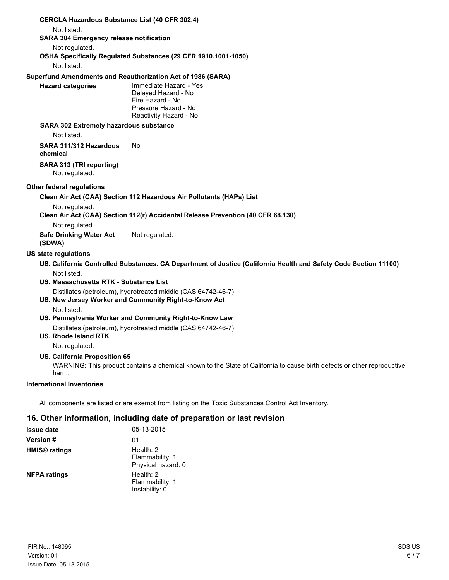|                                                       | <b>CERCLA Hazardous Substance List (40 CFR 302.4)</b>                                                                   |
|-------------------------------------------------------|-------------------------------------------------------------------------------------------------------------------------|
| Not listed.                                           | <b>SARA 304 Emergency release notification</b>                                                                          |
| Not regulated.                                        |                                                                                                                         |
|                                                       | OSHA Specifically Regulated Substances (29 CFR 1910.1001-1050)                                                          |
| Not listed.                                           |                                                                                                                         |
|                                                       | Superfund Amendments and Reauthorization Act of 1986 (SARA)                                                             |
| <b>Hazard categories</b>                              | Immediate Hazard - Yes<br>Delayed Hazard - No<br>Fire Hazard - No<br>Pressure Hazard - No<br>Reactivity Hazard - No     |
| Not listed.                                           | <b>SARA 302 Extremely hazardous substance</b>                                                                           |
| SARA 311/312 Hazardous<br>chemical                    | No.                                                                                                                     |
| SARA 313 (TRI reporting)<br>Not regulated.            |                                                                                                                         |
| Other federal regulations                             |                                                                                                                         |
|                                                       | Clean Air Act (CAA) Section 112 Hazardous Air Pollutants (HAPs) List                                                    |
| Not regulated.<br>Not regulated.                      | Clean Air Act (CAA) Section 112(r) Accidental Release Prevention (40 CFR 68.130)                                        |
| <b>Safe Drinking Water Act</b><br>(SDWA)              | Not regulated.                                                                                                          |
| <b>US state regulations</b>                           |                                                                                                                         |
|                                                       | US. California Controlled Substances. CA Department of Justice (California Health and Safety Code Section 11100)        |
| Not listed.<br>US. Massachusetts RTK - Substance List |                                                                                                                         |
|                                                       | Distillates (petroleum), hydrotreated middle (CAS 64742-46-7)                                                           |
|                                                       | US. New Jersey Worker and Community Right-to-Know Act                                                                   |
| Not listed.                                           | US. Pennsylvania Worker and Community Right-to-Know Law                                                                 |
|                                                       | Distillates (petroleum), hydrotreated middle (CAS 64742-46-7)                                                           |
| <b>US. Rhode Island RTK</b>                           |                                                                                                                         |
| Not regulated.                                        |                                                                                                                         |
| US. California Proposition 65<br>harm.                | WARNING: This product contains a chemical known to the State of California to cause birth defects or other reproductive |
| <b>International Inventories</b>                      |                                                                                                                         |
|                                                       |                                                                                                                         |
|                                                       | All components are listed or are exempt from listing on the Toxic Substances Control Act Inventory.                     |
|                                                       |                                                                                                                         |

## **16. Other information, including date of preparation or last revision**

| <b>Issue date</b>               | 05-13-2015                                           |
|---------------------------------|------------------------------------------------------|
| <b>Version #</b>                | 01                                                   |
| <b>HMIS<sup>®</sup></b> ratings | Health: $2$<br>Flammability: 1<br>Physical hazard: 0 |
| <b>NFPA ratings</b>             | Health: 2<br>Flammability: 1<br>Instability: 0       |